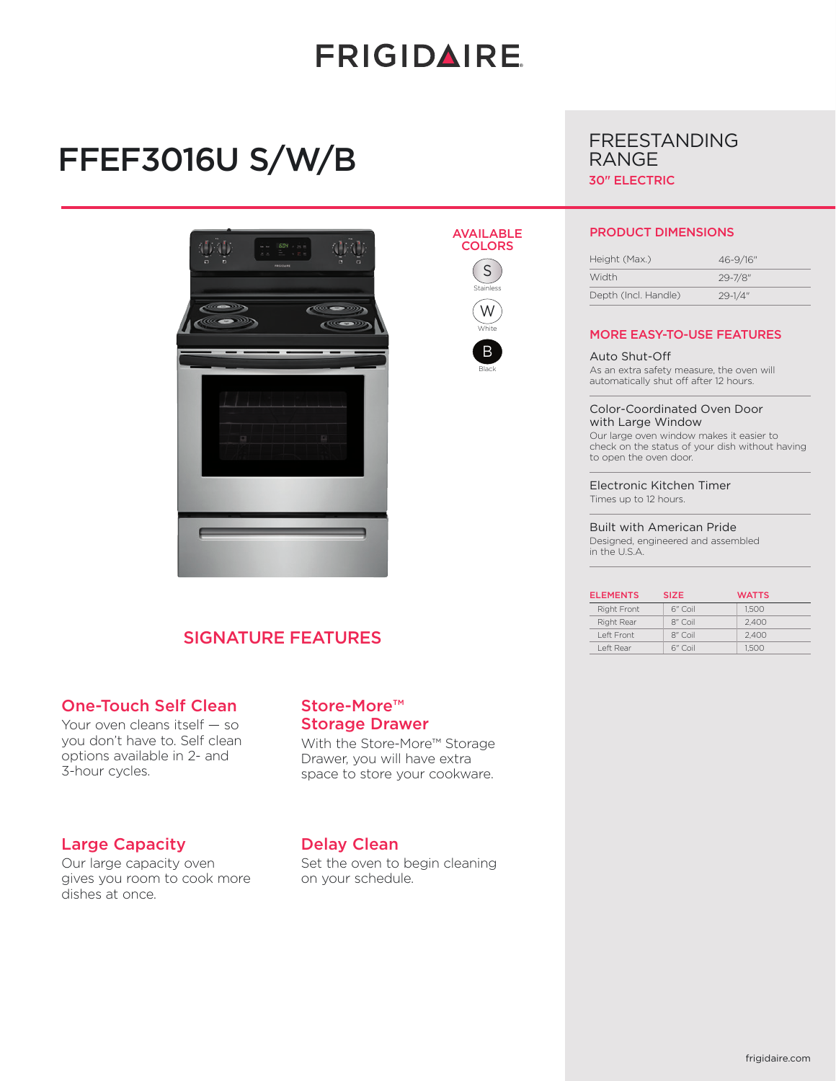# **FRIGIDAIRE**

# FFEF3016U S/W/B





Stainless W **White** B Black



FREESTANDING

#### PRODUCT DIMENSIONS

| Height (Max.)        | 46-9/16"     |  |
|----------------------|--------------|--|
| Width                | $29 - 7/8$ " |  |
| Depth (Incl. Handle) | $29 - 1/4"$  |  |

#### MORE EASY-TO-USE FEATURES

Auto Shut-Off As an extra safety measure, the oven will automatically shut off after 12 hours.

Color-Coordinated Oven Door with Large Window Our large oven window makes it easier to check on the status of your dish without having to open the oven door.

Electronic Kitchen Timer Times up to 12 hours.

Built with American Pride Designed, engineered and assembled in the U.S.A.

| <b>ELEMENTS</b> | <b>SIZE</b> | <b>WATTS</b> |
|-----------------|-------------|--------------|
| Right Front     | 6" Coil     | 1.500        |
| Right Rear      | 8" Coil     | 2.400        |
| I eft Front     | 8" Coil     | 2.400        |
| I eft Rear      | 6" Coil     | 1.500        |

## SIGNATURE FEATURES

#### One-Touch Self Clean

Your oven cleans itself — so you don't have to. Self clean options available in 2- and 3-hour cycles.

#### Large Capacity

Our large capacity oven gives you room to cook more dishes at once.

### Store-More™ Storage Drawer

With the Store-More™ Storage Drawer, you will have extra space to store your cookware.

### Delay Clean

Set the oven to begin cleaning on your schedule.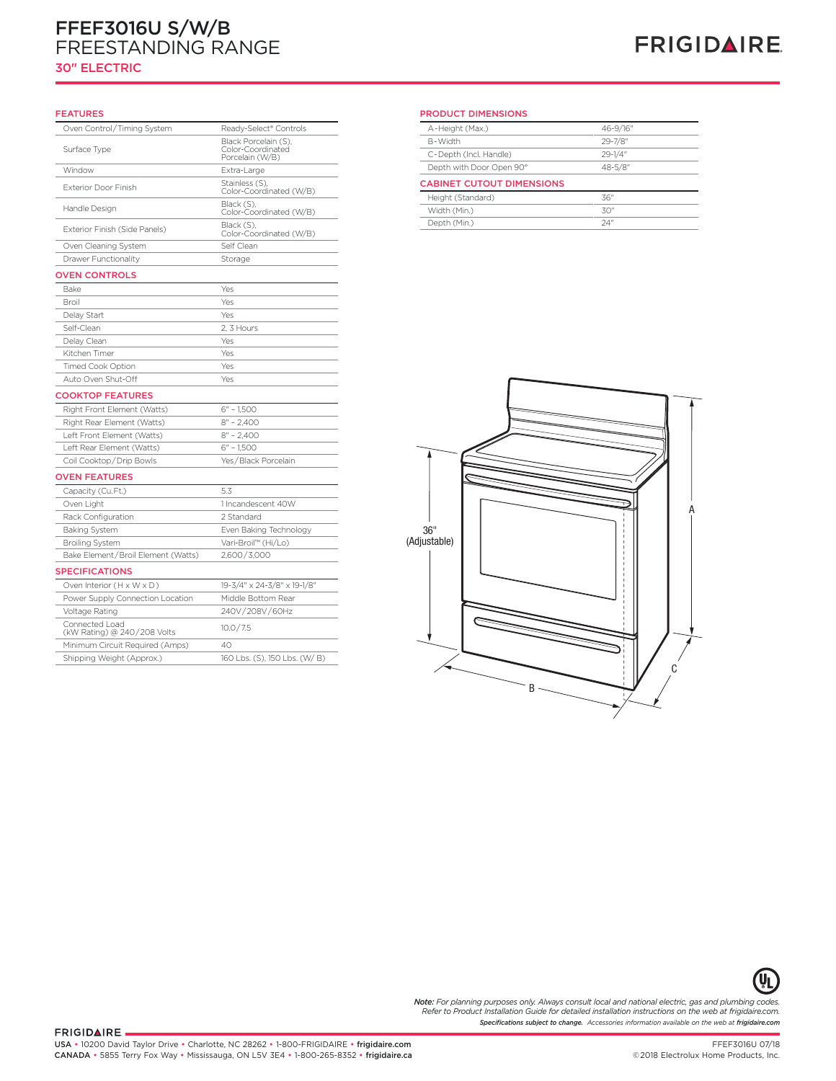# FFEF3016U S/W/B FREESTANDING RANGE

### 30" ELECTRIC

# **FRIGIDAIRE**

#### FEATURES

| Oven Control/Timing System                    | Ready-Select® Controls                                       |
|-----------------------------------------------|--------------------------------------------------------------|
| Surface Type                                  | Black Porcelain (S),<br>Color-Coordinated<br>Porcelain (W/B) |
| Window                                        | Extra-Large                                                  |
| <b>Exterior Door Finish</b>                   | Stainless (S),<br>Color-Coordinated (W/B)                    |
| Handle Design                                 | Black (S),<br>Color-Coordinated (W/B)                        |
| Exterior Finish (Side Panels)                 | Black (S),<br>Color-Coordinated (W/B)                        |
| Oven Cleaning System                          | Self Clean                                                   |
| Drawer Functionality                          | Storage                                                      |
| <b>OVEN CONTROLS</b>                          |                                                              |
| Bake                                          | Yes                                                          |
| Broil                                         | Yes                                                          |
| Delay Start                                   | Yes                                                          |
| Self-Clean                                    | 2, 3 Hours                                                   |
| Delay Clean                                   | Yes                                                          |
| Kitchen Timer                                 | Yes                                                          |
| <b>Timed Cook Option</b>                      | Yes                                                          |
| Auto Oven Shut-Off                            | Yes                                                          |
| <b>COOKTOP FEATURES</b>                       |                                                              |
| Right Front Element (Watts)                   | $6" - 1,500$                                                 |
| Right Rear Element (Watts)                    | $8'' - 2,400$                                                |
| Left Front Element (Watts)                    | $8" - 2.400$                                                 |
| Left Rear Element (Watts)                     | $6" - 1,500$                                                 |
| Coil Cooktop/Drip Bowls                       | Yes / Black Porcelain                                        |
| <b>OVEN FEATURES</b>                          |                                                              |
| Capacity (Cu.Ft.)                             | 5.3                                                          |
| Oven Light                                    | 1 Incandescent 40W                                           |
| Rack Configuration                            | 2 Standard                                                   |
| <b>Baking System</b>                          | Even Baking Technology                                       |
| <b>Broiling System</b>                        | Vari-Broil™ (Hi/Lo)                                          |
| Bake Element/Broil Element (Watts)            | 2,600/3,000                                                  |
| <b>SPECIFICATIONS</b>                         |                                                              |
| Oven Interior (H x W x D)                     | 19-3/4" x 24-3/8" x 19-1/8"                                  |
| Power Supply Connection Location              | Middle Bottom Rear                                           |
| Voltage Rating                                | 240V/208V/60Hz                                               |
| Connected Load<br>(kW Rating) @ 240/208 Volts | 10.0 / 7.5                                                   |
| Minimum Circuit Required (Amps)               | 40                                                           |
| Shipping Weight (Approx.)                     | 160 Lbs. (S), 150 Lbs. (W/B)                                 |

#### **30 Electric Freedom PRODUCT DIMENSIONS** PRODUCT DIMENSIONS

| <sup>®</sup> Controls | A-Height (Max.)                  | 46-9/16"     |  |
|-----------------------|----------------------------------|--------------|--|
| in (S),               | B-Width                          | 29-7/8"      |  |
| nated<br>B)           | C-Depth (Incl. Handle)           | $29 - 1/4$ " |  |
|                       | Depth with Door Open 90°         | $48 - 5/8$ " |  |
|                       | <b>CABINET CUTOUT DIMENSIONS</b> |              |  |
| nated (W/B)           | Height (Standard)                | 36"          |  |
| nated (W/B)           | Width (Min.)                     | 30"          |  |
|                       | Depth (Min.)                     | 24"          |  |





**Note:** For planning purposes only. Always consult local and national electric, gas and plumbing codes.<br>Refer to Product Installation Guide for detailed installation instructions on the web at frigidaire.com. *Specifications subject to change. Accessories information available on the web at frigidaire.com*